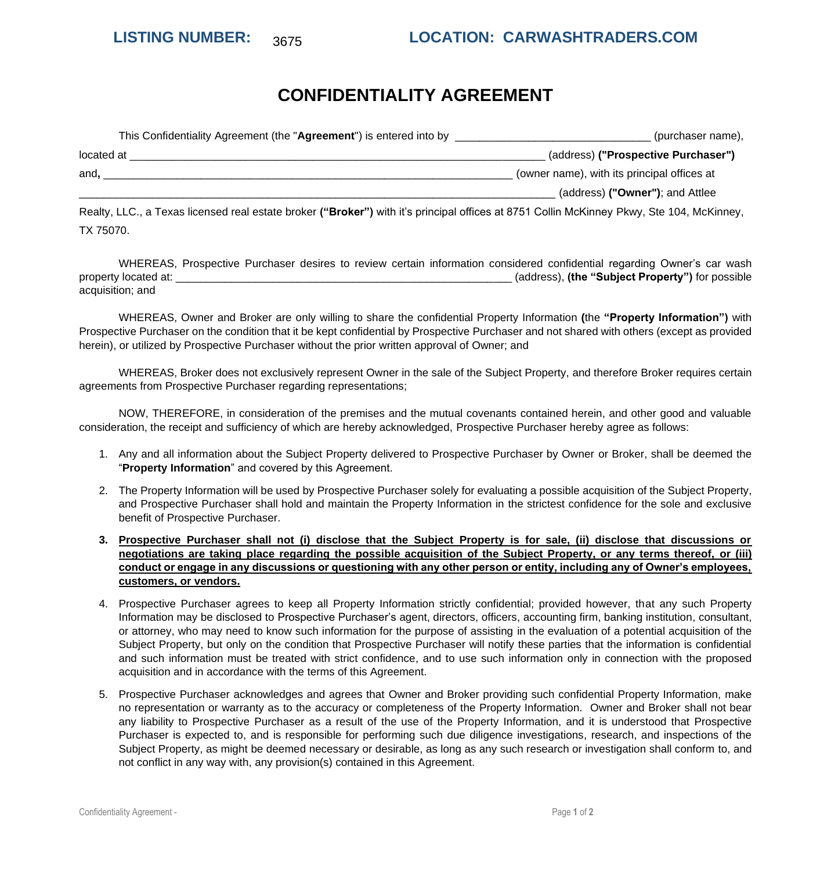# **CONFIDENTIALITY AGREEMENT**

| This Confidentiality Agreement (the "Agreement") is entered into by | (purchaser name),                           |
|---------------------------------------------------------------------|---------------------------------------------|
| located at                                                          | (address) ("Prospective Purchaser")         |
| and.                                                                | (owner name), with its principal offices at |
|                                                                     | (address) ("Owner"); and Attlee             |
|                                                                     |                                             |

Realty, LLC., a Texas licensed real estate broker **("Broker")** with it's principal offices at 8751 Collin McKinney Pkwy, Ste 104, McKinney, TX 75070.

WHEREAS, Prospective Purchaser desires to review certain information considered confidential regarding Owner's car wash property located at: \_\_\_\_\_\_\_\_\_\_\_\_\_\_\_\_\_\_\_\_\_\_\_\_\_\_\_\_\_\_\_\_\_\_\_\_\_\_\_\_\_\_\_\_\_\_\_\_\_\_\_\_\_\_\_ (address), **(the "Subject Property")** for possible acquisition; and

WHEREAS, Owner and Broker are only willing to share the confidential Property Information **(**the **"Property Information")** with Prospective Purchaser on the condition that it be kept confidential by Prospective Purchaser and not shared with others (except as provided herein), or utilized by Prospective Purchaser without the prior written approval of Owner; and

WHEREAS, Broker does not exclusively represent Owner in the sale of the Subject Property, and therefore Broker requires certain agreements from Prospective Purchaser regarding representations;

NOW, THEREFORE, in consideration of the premises and the mutual covenants contained herein, and other good and valuable consideration, the receipt and sufficiency of which are hereby acknowledged, Prospective Purchaser hereby agree as follows:

- 1. Any and all information about the Subject Property delivered to Prospective Purchaser by Owner or Broker, shall be deemed the "**Property Information**" and covered by this Agreement.
- 2. The Property Information will be used by Prospective Purchaser solely for evaluating a possible acquisition of the Subject Property, and Prospective Purchaser shall hold and maintain the Property Information in the strictest confidence for the sole and exclusive benefit of Prospective Purchaser.
- **3. Prospective Purchaser shall not (i) disclose that the Subject Property is for sale, (ii) disclose that discussions or negotiations are taking place regarding the possible acquisition of the Subject Property, or any terms thereof, or (iii) conduct or engage in any discussions or questioning with any other person or entity, including any of Owner's employees, customers, or vendors.**
- 4. Prospective Purchaser agrees to keep all Property Information strictly confidential; provided however, that any such Property Information may be disclosed to Prospective Purchaser's agent, directors, officers, accounting firm, banking institution, consultant, or attorney, who may need to know such information for the purpose of assisting in the evaluation of a potential acquisition of the Subject Property, but only on the condition that Prospective Purchaser will notify these parties that the information is confidential and such information must be treated with strict confidence, and to use such information only in connection with the proposed acquisition and in accordance with the terms of this Agreement.
- 5. Prospective Purchaser acknowledges and agrees that Owner and Broker providing such confidential Property Information, make no representation or warranty as to the accuracy or completeness of the Property Information. Owner and Broker shall not bear any liability to Prospective Purchaser as a result of the use of the Property Information, and it is understood that Prospective Purchaser is expected to, and is responsible for performing such due diligence investigations, research, and inspections of the Subject Property, as might be deemed necessary or desirable, as long as any such research or investigation shall conform to, and not conflict in any way with, any provision(s) contained in this Agreement.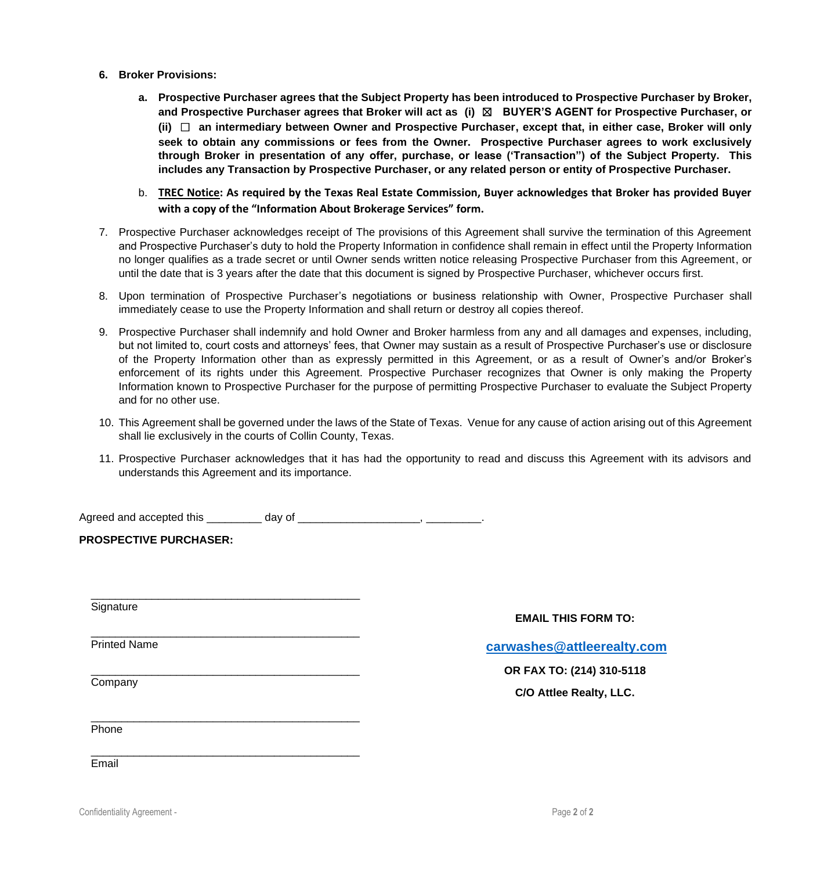- **6. Broker Provisions:** 
	- **a. Prospective Purchaser agrees that the Subject Property has been introduced to Prospective Purchaser by Broker, and Prospective Purchaser agrees that Broker will act as (i)** ☒ **BUYER'S AGENT for Prospective Purchaser, or (ii)** ☐ **an intermediary between Owner and Prospective Purchaser, except that, in either case, Broker will only seek to obtain any commissions or fees from the Owner. Prospective Purchaser agrees to work exclusively through Broker in presentation of any offer, purchase, or lease ('Transaction") of the Subject Property. This includes any Transaction by Prospective Purchaser, or any related person or entity of Prospective Purchaser.**
	- b. **TREC Notice: As required by the Texas Real Estate Commission, Buyer acknowledges that Broker has provided Buyer with a copy of the "Information About Brokerage Services" form.**
- 7. Prospective Purchaser acknowledges receipt of The provisions of this Agreement shall survive the termination of this Agreement and Prospective Purchaser's duty to hold the Property Information in confidence shall remain in effect until the Property Information no longer qualifies as a trade secret or until Owner sends written notice releasing Prospective Purchaser from this Agreement, or until the date that is 3 years after the date that this document is signed by Prospective Purchaser, whichever occurs first.
- 8. Upon termination of Prospective Purchaser's negotiations or business relationship with Owner, Prospective Purchaser shall immediately cease to use the Property Information and shall return or destroy all copies thereof.
- 9. Prospective Purchaser shall indemnify and hold Owner and Broker harmless from any and all damages and expenses, including, but not limited to, court costs and attorneys' fees, that Owner may sustain as a result of Prospective Purchaser's use or disclosure of the Property Information other than as expressly permitted in this Agreement, or as a result of Owner's and/or Broker's enforcement of its rights under this Agreement. Prospective Purchaser recognizes that Owner is only making the Property Information known to Prospective Purchaser for the purpose of permitting Prospective Purchaser to evaluate the Subject Property and for no other use.
- 10. This Agreement shall be governed under the laws of the State of Texas. Venue for any cause of action arising out of this Agreement shall lie exclusively in the courts of Collin County, Texas.
- 11. Prospective Purchaser acknowledges that it has had the opportunity to read and discuss this Agreement with its advisors and understands this Agreement and its importance.

Agreed and accepted this \_\_\_\_\_\_\_\_\_ day of \_\_\_\_\_\_\_\_\_\_\_\_\_\_\_\_\_\_\_\_\_\_, \_\_\_\_\_\_\_\_\_\_.

\_\_\_\_\_\_\_\_\_\_\_\_\_\_\_\_\_\_\_\_\_\_\_\_\_\_\_\_\_\_\_\_\_\_\_\_\_\_\_\_\_\_\_\_

\_\_\_\_\_\_\_\_\_\_\_\_\_\_\_\_\_\_\_\_\_\_\_\_\_\_\_\_\_\_\_\_\_\_\_\_\_\_\_\_\_\_\_\_

\_\_\_\_\_\_\_\_\_\_\_\_\_\_\_\_\_\_\_\_\_\_\_\_\_\_\_\_\_\_\_\_\_\_\_\_\_\_\_\_\_\_\_\_

\_\_\_\_\_\_\_\_\_\_\_\_\_\_\_\_\_\_\_\_\_\_\_\_\_\_\_\_\_\_\_\_\_\_\_\_\_\_\_\_\_\_\_\_

**PROSPECTIVE PURCHASER:**

**Signature** 

Printed Name

**EMAIL THIS FORM TO:** 

**[carwashes@attleerealty.com](mailto:carwashes@attleerealty.com)**

## **OR FAX TO: (214) 310-5118**

**C/O Attlee Realty, LLC.**

\_\_\_\_\_\_\_\_\_\_\_\_\_\_\_\_\_\_\_\_\_\_\_\_\_\_\_\_\_\_\_\_\_\_\_\_\_\_\_\_\_\_\_\_ Phone

**Company** 

Email